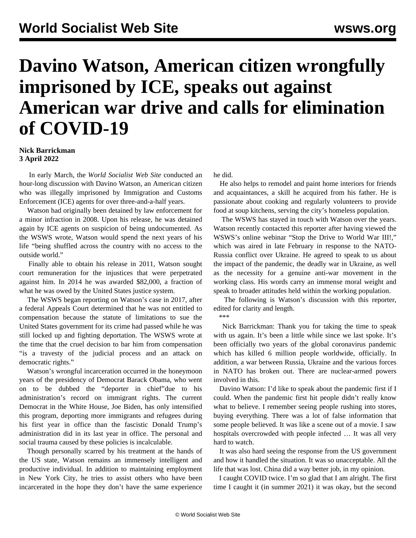## **Davino Watson, American citizen wrongfully imprisoned by ICE, speaks out against American war drive and calls for elimination of COVID-19**

## **Nick Barrickman 3 April 2022**

 In early March, the *World Socialist Web Site* conducted an hour-long discussion with Davino Watson, an American citizen who was illegally imprisoned by Immigration and Customs Enforcement (ICE) agents for over three-and-a-half years.

 Watson had originally been detained by law enforcement for a minor infraction in 2008. Upon his release, he was detained again by ICE agents on suspicion of being undocumented. As the WSWS [wrote,](/en/articles/2017/11/04/wats-n04.html) Watson would spend the next years of his life "being shuffled across the country with no access to the outside world."

 Finally able to obtain his release in 2011, Watson sought court remuneration for the injustices that were perpetrated against him. In 2014 he was awarded \$82,000, a fraction of what he was owed by the United States justice system.

 The WSWS [began](/en/articles/2017/08/04/immi-a04.html) reporting on Watson's case in 2017, after a federal Appeals Court determined that he was not entitled to compensation because the statute of limitations to sue the United States government for its crime had passed while he was still locked up and fighting deportation. The WSWS wrote at the time that the cruel decision to bar him from compensation "is a travesty of the judicial process and an attack on democratic rights."

 Watson's wrongful incarceration occurred in the honeymoon years of the presidency of Democrat Barack Obama, who went on to be dubbed the ["deporter in chief"](/en/articles/2016/11/08/immi-n08.html)due to his administration's record on immigrant rights. The current Democrat in the White House, Joe Biden, has only [intensified](/en/articles/2022/03/15/tite-m15.html) this program, deporting more immigrants and refugees during his first year in office than the fascistic Donald Trump's administration did in its last year in office. The personal and social trauma caused by these policies is incalculable.

 Though personally scarred by his treatment at the hands of the US state, Watson remains an immensely intelligent and productive individual. In addition to maintaining employment in New York City, he tries to assist others who have been incarcerated in the hope they don't have the same experience he did.

 He also helps to remodel and paint home interiors for friends and acquaintances, a skill he acquired from his father. He is passionate about cooking and regularly volunteers to provide food at soup kitchens, serving the city's homeless population.

 The WSWS has stayed in touch with Watson over the years. Watson recently contacted this reporter after having viewed the WSWS's online webinar "[Stop the Drive to World War III!](/en/special/pages/stop-the-drive-to-world-war-three.html)," which was aired in late February in response to the NATO-Russia conflict over Ukraine. He agreed to speak to us about the impact of the pandemic, the deadly war in Ukraine, as well as the necessity for a genuine anti-war movement in the working class. His words carry an immense moral weight and speak to broader attitudes held within the working population.

 The following is Watson's discussion with this reporter, edited for clarity and length.

 Nick Barrickman: Thank you for taking the time to speak with us again. It's been a little while since we last spoke. It's been officially two years of the global coronavirus pandemic which has killed 6 million people worldwide, officially. In addition, a war between Russia, Ukraine and the various forces in NATO has broken out. There are nuclear-armed powers involved in this.

 Davino Watson: I'd like to speak about the pandemic first if I could. When the pandemic first hit people didn't really know what to believe. I remember seeing people rushing into stores, buying everything. There was a lot of false information that some people believed. It was like a scene out of a movie. I saw hospitals overcrowded with people infected … It was all very hard to watch.

 It was also hard seeing the response from the US government and how it handled the situation. It was so unacceptable. All the life that was lost. China did a way better job, in my opinion.

 I caught COVID twice. I'm so glad that I am alright. The first time I caught it (in summer 2021) it was okay, but the second

 <sup>\*\*\*</sup>